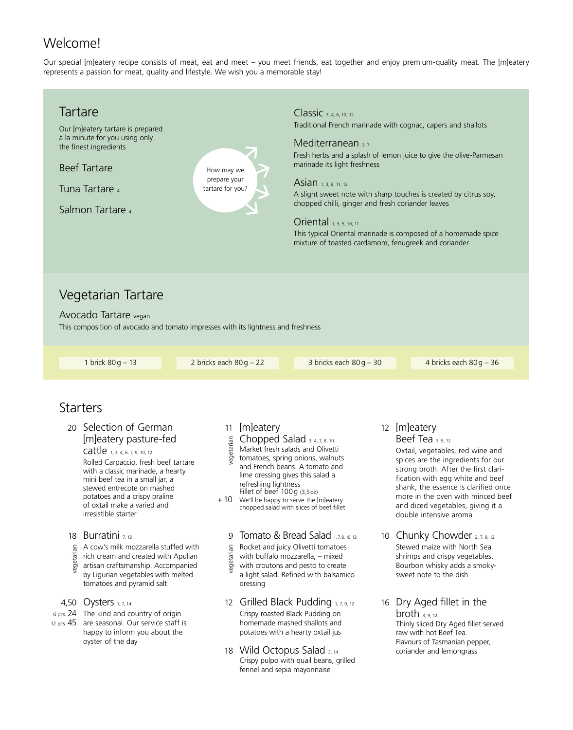# Welcome!

Our special [m]eatery recipe consists of meat, eat and meet – you meet friends, eat together and enjoy premium-quality meat. The [m]eatery represents a passion for meat, quality and lifestyle. We wish you a memorable stay!



happy to inform you about the oyster of the day

18 Wild Octopus Salad 3, 14 Crispy pulpo with quail beans, grilled fennel and sepia mayonnaise

 Flavours of Tasmanian pepper, coriander and lemongrass